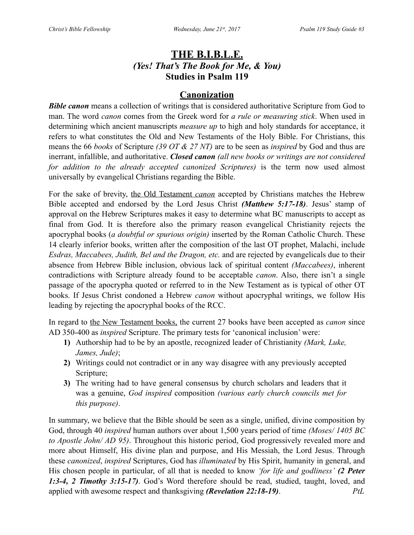# **THE B.I.B.L.E.** *(Yes! That's The Book for Me, & You)* **Studies in Psalm 119**

# **Canonization**

**Bible canon** means a collection of writings that is considered authoritative Scripture from God to man. The word *canon* comes from the Greek word for *a rule or measuring stick*. When used in determining which ancient manuscripts *measure up* to high and holy standards for acceptance, it refers to what constitutes the Old and New Testaments of the Holy Bible. For Christians, this means the 66 *books* of Scripture *(39 OT & 27 NT)* are to be seen as *inspired* by God and thus are inerrant, infallible, and authoritative. *Closed canon (all new books or writings are not considered for addition to the already accepted canonized Scriptures)* is the term now used almost universally by evangelical Christians regarding the Bible.

For the sake of brevity, the Old Testament *canon* accepted by Christians matches the Hebrew Bible accepted and endorsed by the Lord Jesus Christ *(Matthew 5:17-18)*. Jesus' stamp of approval on the Hebrew Scriptures makes it easy to determine what BC manuscripts to accept as final from God. It is therefore also the primary reason evangelical Christianity rejects the apocryphal books (*a doubtful or spurious origin)* inserted by the Roman Catholic Church. These 14 clearly inferior books, written after the composition of the last OT prophet, Malachi, include *Esdras, Maccabees, Judith, Bel and the Dragon, etc.* and are rejected by evangelicals due to their absence from Hebrew Bible inclusion, obvious lack of spiritual content *(Maccabees)*, inherent contradictions with Scripture already found to be acceptable *canon*. Also, there isn't a single passage of the apocrypha quoted or referred to in the New Testament as is typical of other OT books. If Jesus Christ condoned a Hebrew *canon* without apocryphal writings, we follow His leading by rejecting the apocryphal books of the RCC.

In regard to the New Testament books, the current 27 books have been accepted as *canon* since AD 350-400 as *inspired* Scripture. The primary tests for 'canonical inclusion' were:

- **1)** Authorship had to be by an apostle, recognized leader of Christianity *(Mark, Luke, James, Jude)*;
- **2)** Writings could not contradict or in any way disagree with any previously accepted Scripture;
- **3)** The writing had to have general consensus by church scholars and leaders that it was a genuine, *God inspired* composition *(various early church councils met for this purpose)*.

In summary, we believe that the Bible should be seen as a single, unified, divine composition by God, through 40 *inspired* human authors over about 1,500 years period of time *(Moses/ 1405 BC to Apostle John/ AD 95)*. Throughout this historic period, God progressively revealed more and more about Himself, His divine plan and purpose, and His Messiah, the Lord Jesus. Through these *canonized*, *inspired* Scriptures, God has *illuminated* by His Spirit, humanity in general, and His chosen people in particular, of all that is needed to know *'for life and godliness' (2 Peter 1:3-4, 2 Timothy 3:15-17)*. God's Word therefore should be read, studied, taught, loved, and applied with awesome respect and thanksgiving *(Revelation 22:18-19)*. *PtL*